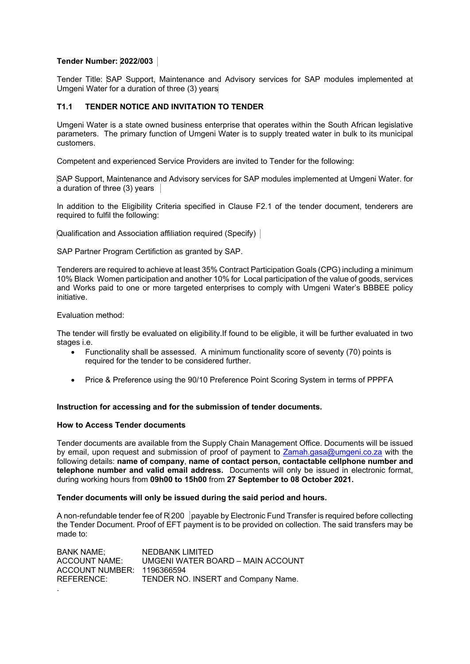## **Tender Number: 2022/003**

Tender Title: SAP Support, Maintenance and Advisory services for SAP modules implemented at Umgeni Water for a duration of three (3) years

## **T1.1 TENDER NOTICE AND INVITATION TO TENDER**

Umgeni Water is a state owned business enterprise that operates within the South African legislative parameters. The primary function of Umgeni Water is to supply treated water in bulk to its municipal customers.

Competent and experienced Service Providers are invited to Tender for the following:

SAP Support, Maintenance and Advisory services for SAP modules implemented at Umgeni Water. for a duration of three (3) years

In addition to the Eligibility Criteria specified in Clause F2.1 of the tender document, tenderers are required to fulfil the following:

Qualification and Association affiliation required (Specify)

SAP Partner Program Certifiction as granted by SAP.

Tenderers are required to achieve at least 35% Contract Participation Goals (CPG) including a minimum 10% Black Women participation and another 10% for Local participation of the value of goods, services and Works paid to one or more targeted enterprises to comply with Umgeni Water's BBBEE policy initiative.

### Evaluation method:

The tender will firstly be evaluated on eligibility.If found to be eligible, it will be further evaluated in two stages i.e.

- Functionality shall be assessed. A minimum functionality score of seventy (70) points is required for the tender to be considered further.
- Price & Preference using the 90/10 Preference Point Scoring System in terms of PPPFA

### **Instruction for accessing and for the submission of tender documents.**

#### **How to Access Tender documents**

Tender documents are available from the Supply Chain Management Office. Documents will be issued by email, upon request and submission of proof of payment to Zamah.gasa@umgeni.co.za with the following details: **name of company**, **name of contact person, contactable cellphone number and telephone number and valid email address.** Documents will only be issued in electronic format, during working hours from **09h00 to 15h00** from **27 September to 08 October 2021.** 

# **Tender documents will only be issued during the said period and hours.**

A non-refundable tender fee of R 200  $\vert$  payable by Electronic Fund Transfer is required before collecting the Tender Document. Proof of EFT payment is to be provided on collection. The said transfers may be made to:

BANK NAME;<br>ACCOUNT NAME: UMGENI WATER BO UMGENI WATER BOARD – MAIN ACCOUNT ACCOUNT NUMBER: 1196366594 REFERENCE: TENDER NO. INSERT and Company Name. .